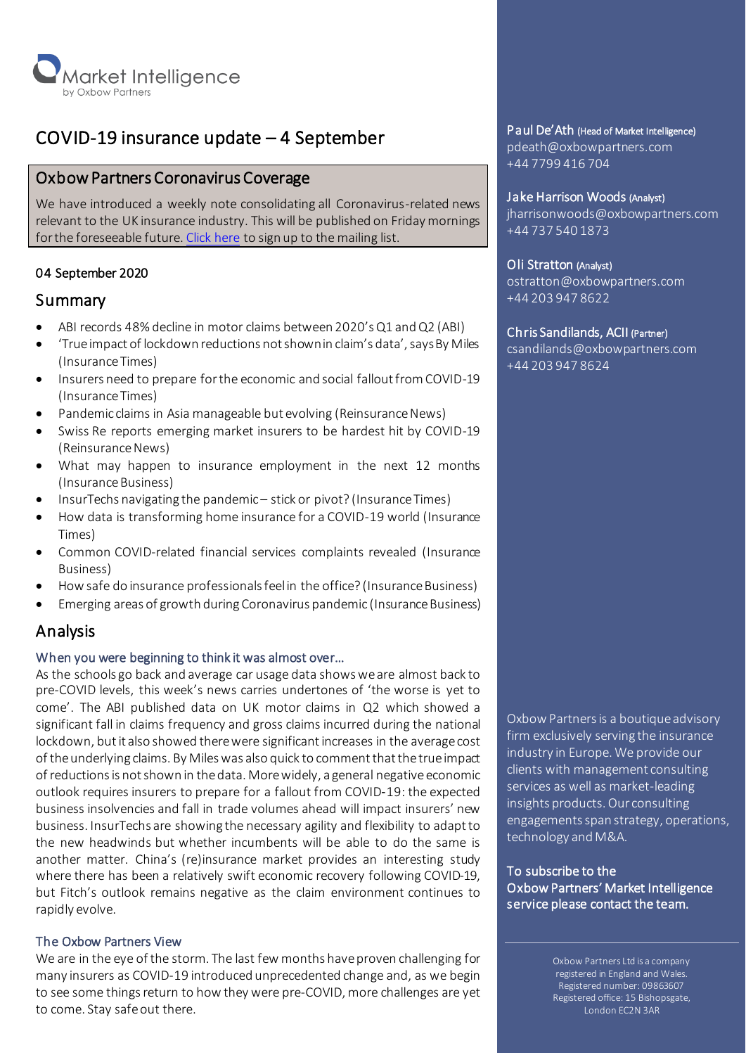

# COVID-19 insurance update – 4 September

# Oxbow Partners Coronavirus Coverage

We have introduced a weekly note consolidating all Coronavirus-related news relevant to the UK insurance industry. This will be published on Friday mornings for the foreseeable future[. Click here](http://oxbowpartners-7474208.hs-sites.com/covid-19) to sign up to the mailing list.

# 04 September 2020

# Summary

- ABI records 48% decline in motor claims between 2020's Q1 and Q2 (ABI)
- 'True impact of lockdown reductions not shown in claim's data', says By Miles (Insurance Times)
- Insurers need to prepare for the economic and social fallout from COVID-19 (Insurance Times)
- Pandemic claims in Asia manageable but evolving (Reinsurance News)
- Swiss Re reports emerging market insurers to be hardest hit by COVID-19 (Reinsurance News)
- What may happen to insurance employment in the next 12 months (Insurance Business)
- InsurTechs navigating the pandemic stick or pivot? (Insurance Times)
- How data is transforming home insurance for a COVID-19 world (Insurance Times)
- Common COVID-related financial services complaints revealed (Insurance Business)
- How safe do insurance professionals feel in the office? (Insurance Business)
- Emerging areas of growth during Coronavirus pandemic (Insurance Business)

# Analysis

# When you were beginning to think it was almost over…

As the schools go back and average car usage data shows we are almost back to pre-COVID levels, this week's news carries undertones of 'the worse is yet to come'. The ABI published data on UK motor claims in Q2 which showed a significant fall in claims frequency and gross claims incurred during the national lockdown, but it also showed there were significant increases in the averagecost of the underlying claims. By Miles was also quick to comment that the true impact of reductions is not shown in the data. More widely, a general negative economic outlook requires insurers to prepare for a fallout from COVID‑19: the expected business insolvencies and fall in trade volumes ahead will impact insurers' new business. InsurTechs are showing the necessary agility and flexibility to adapt to the new headwinds but whether incumbents will be able to do the same is another matter. China's (re)insurance market provides an interesting study where there has been a relatively swift economic recovery following COVID-19, but Fitch's outlook remains negative as the claim environment continues to rapidly evolve.

# The Oxbow Partners View

We are in the eye of the storm. The last few months have proven challenging for many insurers as COVID-19 introduced unprecedented change and, as we begin to see some things return to how they were pre-COVID, more challenges are yet to come. Stay safe out there.

# Paul De'Ath (Head of Market Intelligence)

pdeath@oxbowpartners.com +44 7799 416 704

#### Jake Harrison Woods (Analyst)

jharrisonwoods@oxbowpartners.com +44 737 540 1873

# Oli Stratton (Analyst)

ostratton@oxbowpartners.com +44 203 947 8622

# Chris Sandilands, ACII (Partner)

csandilands@oxbowpartners.com +44 203 947 8624

Oxbow Partners is a boutique advisory firm exclusively serving the insurance industry in Europe. We provide our clients with management consulting services as well as market-leading insights products. Our consulting engagements span strategy, operations, technology and M&A.

To subscribe to the Oxbow Partners' Market Intelligence service please contact the team.

> Oxbow Partners Ltd is a company registered in England and Wales. Registered number: 09863607 Registered office: 15 Bishopsgate, London EC2N 3AR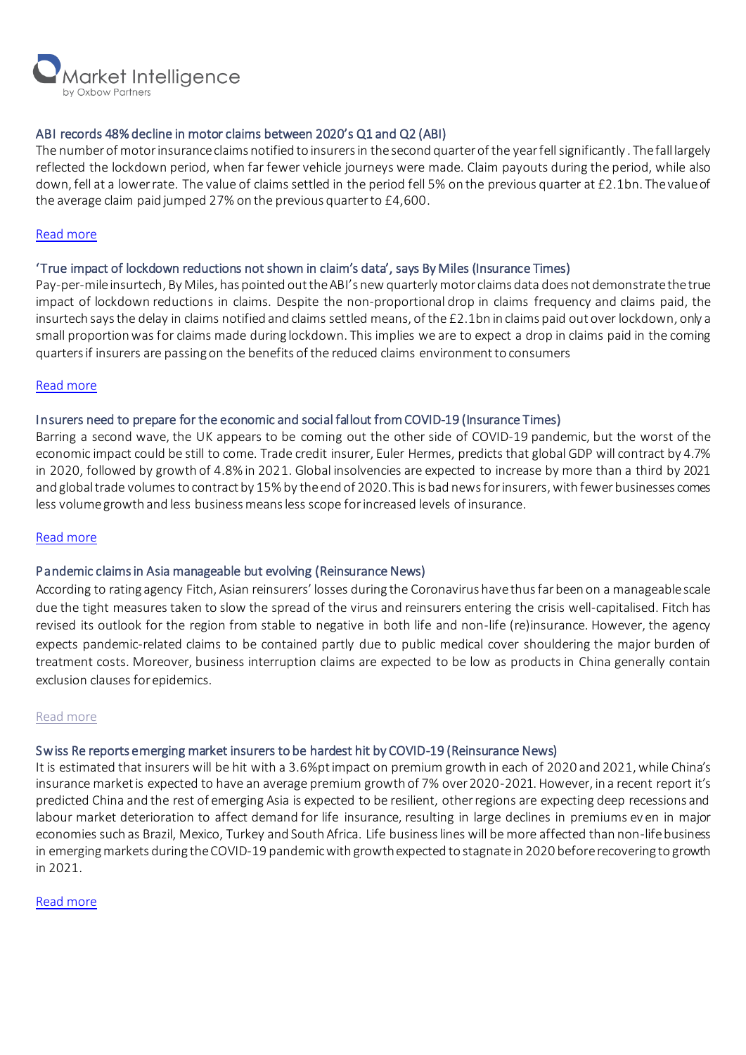

# ABI records 48% decline in motor claims between 2020's Q1 and Q2 (ABI)

The number of motor insurance claims notified to insurers in the second quarter of the year fell significantly . The fall largely reflected the lockdown period, when far fewer vehicle journeys were made. Claim payouts during the period, while also down, fell at a lower rate. The value of claims settled in the period fell 5% on the previous quarter at £2.1bn. The value of the average claim paid jumped 27% on the previous quarter to £4,600.

#### [Read more](https://www.abi.org.uk/news/news-articles/2020/09/motor-claims-fell-significantly-in-q2/)

# 'True impact of lockdown reductions not shown in claim's data', says By Miles (Insurance Times)

Pay-per-mile insurtech, By Miles, has pointed out the ABI's new quarterly motor claims data does not demonstrate the true impact of lockdown reductions in claims. Despite the non-proportional drop in claims frequency and claims paid, the insurtech says the delay in claims notified and claims settled means, of the £2.1bn in claims paid out over lockdown, only a small proportion was for claims made during lockdown. This implies we are to expect a drop in claims paid in the coming quarters if insurers are passing on the benefits of the reduced claims environmentto consumers

#### [Read more](https://www.insurancetimes.co.uk/news/true-impact-of-lockdown-reductions-not-shown-in-abis-claims-data-says-by-miles/1434360.article)

#### Insurers need to prepare for the economic and social fallout from COVID-19 (Insurance Times)

Barring a second wave, the UK appears to be coming out the other side of COVID-19 pandemic, but the worst of the economic impact could be still to come. Trade credit insurer, Euler Hermes, predicts that global GDP will contract by 4.7% in 2020, followed by growth of 4.8% in 2021. Global insolvencies are expected to increase by more than a third by 2021 and global trade volumes to contract by 15% by the end of 2020. This is bad news for insurers, with fewer businesses comes less volume growth and less business means less scope for increased levels of insurance.

#### [Read more](https://www.insurancetimes.co.uk/analysis/briefing-insurers-need-to-prepare-for-the-economic-and-social-fallout-from-covid-19/1434385.article)

#### Pandemic claims in Asia manageable but evolving (Reinsurance News)

According to rating agency Fitch, Asian reinsurers' losses during the Coronavirus have thus far been on a manageable scale due the tight measures taken to slow the spread of the virus and reinsurers entering the crisis well-capitalised. Fitch has revised its outlook for the region from stable to negative in both life and non-life (re)insurance. However, the agency expects pandemic-related claims to be contained partly due to public medical cover shouldering the major burden of treatment costs. Moreover, business interruption claims are expected to be low as products in China generally contain exclusion clauses for epidemics.

#### [Read more](https://www.reinsurancene.ws/asia-pandemic-claims-manageable-but-evolving-fitch/)

#### Swiss Re reports emerging market insurers to be hardest hit by COVID-19 (Reinsurance News)

It is estimated that insurers will be hit with a 3.6%pt impact on premium growth in each of 2020 and 2021, while China's insurance market is expected to have an average premium growth of 7% over 2020-2021. However, in a recent report it's predicted China and the rest of emerging Asia is expected to be resilient, other regions are expecting deep recessions and labour market deterioration to affect demand for life insurance, resulting in large declines in premiums ev en in major economies such as Brazil, Mexico, Turkey and South Africa. Life business lines will be more affected than non-life business in emerging markets during the COVID-19 pandemic with growth expected to stagnate in 2020 before recovering to growth in 2021.

#### [Read more](https://www.reinsurancene.ws/emerging-market-insurers-to-be-hardest-hit-by-covid-19-swiss-re/)